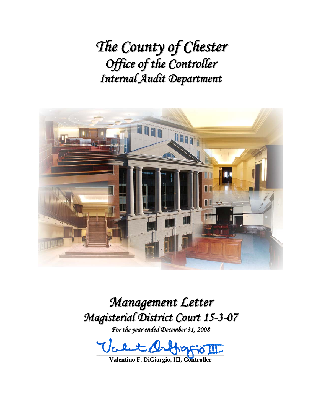*The County of Chester Office of the Controller Internal Audit Department*



*Management Letter Magisterial District Court 15-3-07*

*For the year ended December 31, 2008*

 $U$ cent surfrass III

**Valentino F. DiGiorgio, III, Controller**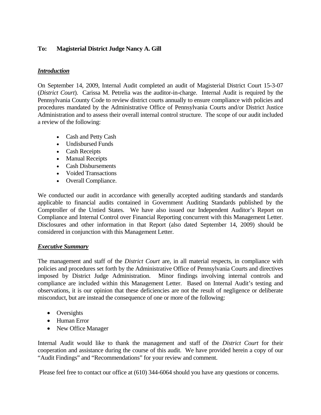## **To: Magisterial District Judge Nancy A. Gill**

## *Introduction*

On September 14, 2009, Internal Audit completed an audit of Magisterial District Court 15-3-07 (*District Court*). Carissa M. Petrelia was the auditor-in-charge. Internal Audit is required by the Pennsylvania County Code to review district courts annually to ensure compliance with policies and procedures mandated by the Administrative Office of Pennsylvania Courts and/or District Justice Administration and to assess their overall internal control structure. The scope of our audit included a review of the following:

- Cash and Petty Cash
- Undisbursed Funds
- Cash Receipts
- Manual Receipts
- Cash Disbursements
- Voided Transactions
- Overall Compliance.

We conducted our audit in accordance with generally accepted auditing standards and standards applicable to financial audits contained in Government Auditing Standards published by the Comptroller of the Untied States. We have also issued our Independent Auditor's Report on Compliance and Internal Control over Financial Reporting concurrent with this Management Letter. Disclosures and other information in that Report (also dated September 14, 2009) should be considered in conjunction with this Management Letter.

## *Executive Summary*

The management and staff of the *District Court* are, in all material respects, in compliance with policies and procedures set forth by the Administrative Office of Pennsylvania Courts and directives imposed by District Judge Administration. Minor findings involving internal controls and compliance are included within this Management Letter. Based on Internal Audit's testing and observations, it is our opinion that these deficiencies are not the result of negligence or deliberate misconduct, but are instead the consequence of one or more of the following:

- Oversights
- Human Error
- New Office Manager

Internal Audit would like to thank the management and staff of the *District Court* for their cooperation and assistance during the course of this audit. We have provided herein a copy of our "Audit Findings" and "Recommendations" for your review and comment.

Please feel free to contact our office at (610) 344-6064 should you have any questions or concerns.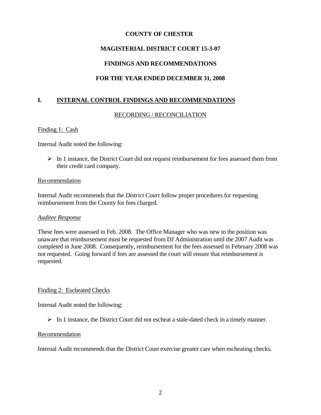# **MAGISTERIAL DISTRICT COURT 15-3-07**

# **FINDINGS AND RECOMMENDATIONS**

# **FOR THE YEAR ENDED DECEMBER 31, 2008**

## **I. INTERNAL CONTROL FINDINGS AND RECOMMENDATIONS**

### RECORDING / RECONCILIATION

### Finding 1: Cash

Internal Audit noted the following:

 $\triangleright$  In 1 instance, the District Court did not request reimbursement for fees assessed them from their credit card company.

### Recommendation

Internal Audit recommends that the *District Court* follow proper procedures for requesting reimbursement from the County for fees charged.

### *Auditee Response*

These fees were assessed in Feb. 2008. The Office Manager who was new to the position was unaware that reimbursement must be requested from DJ Administration until the 2007 Audit was completed in June 2008. Consequently, reimbursement for the fees assessed in February 2008 was not requested. Going forward if fees are assessed the court will ensure that reimbursement is requested.

### Finding 2: Escheated Checks

Internal Audit noted the following:

 $\triangleright$  In 1 instance, the District Court did not escheat a stale-dated check in a timely manner.

### Recommendation

Internal Audit recommends that the District Court exercise greater care when escheating checks.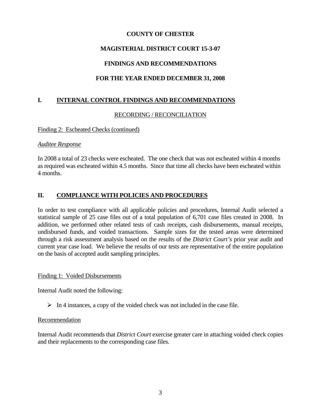# **MAGISTERIAL DISTRICT COURT 15-3-07**

# **FINDINGS AND RECOMMENDATIONS**

# **FOR THE YEAR ENDED DECEMBER 31, 2008**

# **I. INTERNAL CONTROL FINDINGS AND RECOMMENDATIONS**

### RECORDING / RECONCILIATION

### Finding 2: Escheated Checks (continued)

### *Auditee Response*

In 2008 a total of 23 checks were escheated. The one check that was not escheated within 4 months as required was escheated within 4.5 months. Since that time all checks have been escheated within 4 months.

# **II. COMPLIANCE WITH POLICIES AND PROCEDURES**

In order to test compliance with all applicable policies and procedures, Internal Audit selected a statistical sample of 25 case files out of a total population of 6,701 case files created in 2008. In addition, we performed other related tests of cash receipts, cash disbursements, manual receipts, undisbursed funds, and voided transactions. Sample sizes for the tested areas were determined through a risk assessment analysis based on the results of the *District Court's* prior year audit and current year case load. We believe the results of our tests are representative of the entire population on the basis of accepted audit sampling principles.

### Finding 1: Voided Disbursements

Internal Audit noted the following:

 $\triangleright$  In 4 instances, a copy of the voided check was not included in the case file.

### **Recommendation**

Internal Audit recommends that *District Court* exercise greater care in attaching voided check copies and their replacements to the corresponding case files.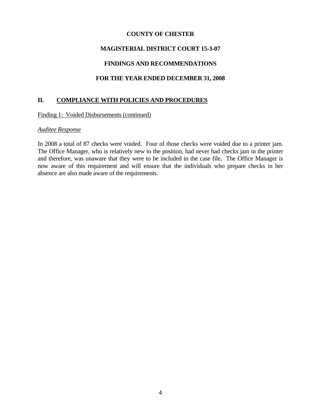## **MAGISTERIAL DISTRICT COURT 15-3-07**

# **FINDINGS AND RECOMMENDATIONS**

## **FOR THE YEAR ENDED DECEMBER 31, 2008**

### **II. COMPLIANCE WITH POLICIES AND PROCEDURES**

Finding 1: Voided Disbursements (continued)

### *Auditee Response*

In 2008 a total of 87 checks were voided. Four of those checks were voided due to a printer jam. The Office Manager, who is relatively new to the position, had never had checks jam in the printer and therefore, was unaware that they were to be included in the case file. The Office Manager is now aware of this requirement and will ensure that the individuals who prepare checks in her absence are also made aware of the requirements.